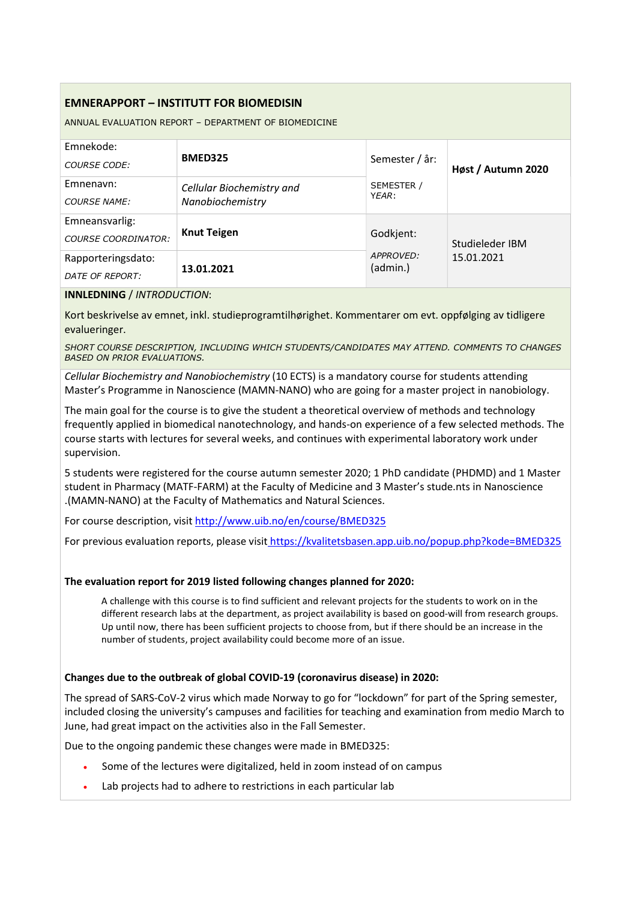# EMNERAPPORT – INSTITUTT FOR BIOMEDISIN

ANNUAL EVALUATION REPORT – DEPARTMENT OF BIOMEDICINE

| Emnekode:<br><b>COURSE CODE:</b>             | <b>BMED325</b>                                | Semester / år:        | Høst / Autumn 2020 |  |
|----------------------------------------------|-----------------------------------------------|-----------------------|--------------------|--|
| Emnenavn:<br><b>COURSE NAME:</b>             | Cellular Biochemistry and<br>Nanobiochemistry | SEMESTER /<br>YEAR:   |                    |  |
| Emneansvarlig:<br><b>COURSE COORDINATOR:</b> | <b>Knut Teigen</b>                            | Godkjent:             | Studieleder IBM    |  |
| Rapporteringsdato:<br>DATE OF REPORT:        | 13.01.2021                                    | APPROVED:<br>(admin.) | 15.01.2021         |  |

#### INNLEDNING / INTRODUCTION:

Kort beskrivelse av emnet, inkl. studieprogramtilhørighet. Kommentarer om evt. oppfølging av tidligere evalueringer.

SHORT COURSE DESCRIPTION, INCLUDING WHICH STUDENTS/CANDIDATES MAY ATTEND. COMMENTS TO CHANGES BASED ON PRIOR EVALUATIONS.

Cellular Biochemistry and Nanobiochemistry (10 ECTS) is a mandatory course for students attending Master's Programme in Nanoscience (MAMN-NANO) who are going for a master project in nanobiology.

The main goal for the course is to give the student a theoretical overview of methods and technology frequently applied in biomedical nanotechnology, and hands-on experience of a few selected methods. The course starts with lectures for several weeks, and continues with experimental laboratory work under supervision.

5 students were registered for the course autumn semester 2020; 1 PhD candidate (PHDMD) and 1 Master student in Pharmacy (MATF-FARM) at the Faculty of Medicine and 3 Master's stude.nts in Nanoscience .(MAMN-NANO) at the Faculty of Mathematics and Natural Sciences.

For course description, visit http://www.uib.no/en/course/BMED325

For previous evaluation reports, please visit https://kvalitetsbasen.app.uib.no/popup.php?kode=BMED325

### The evaluation report for 2019 listed following changes planned for 2020:

A challenge with this course is to find sufficient and relevant projects for the students to work on in the different research labs at the department, as project availability is based on good-will from research groups. Up until now, there has been sufficient projects to choose from, but if there should be an increase in the number of students, project availability could become more of an issue.

### Changes due to the outbreak of global COVID-19 (coronavirus disease) in 2020:

The spread of SARS-CoV-2 virus which made Norway to go for "lockdown" for part of the Spring semester, included closing the university's campuses and facilities for teaching and examination from medio March to June, had great impact on the activities also in the Fall Semester.

Due to the ongoing pandemic these changes were made in BMED325:

- Some of the lectures were digitalized, held in zoom instead of on campus
- Lab projects had to adhere to restrictions in each particular lab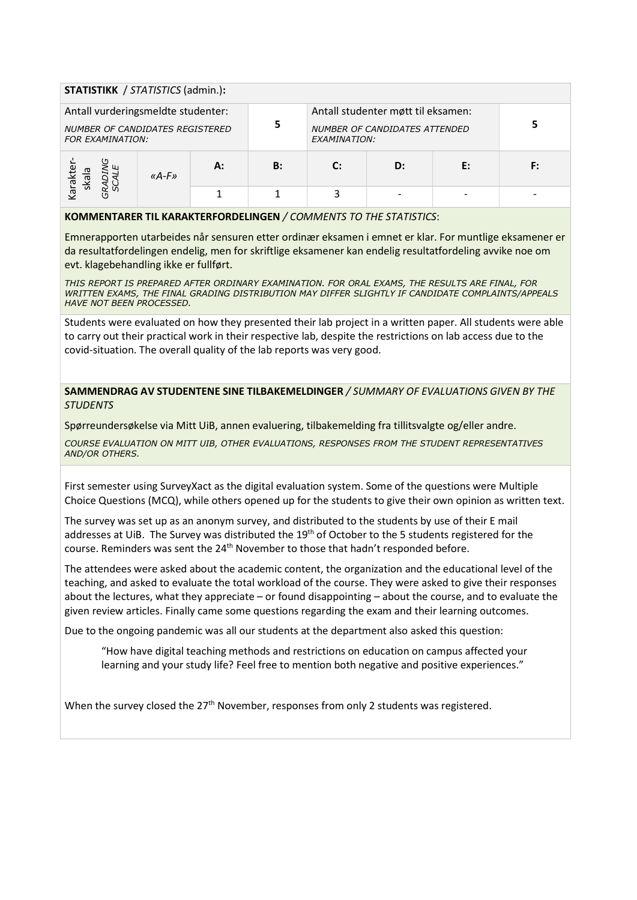| <b>STATISTIKK</b> / STATISTICS (admin.):                                                                |           |    |                                                                                            |              |    |    |    |  |  |  |
|---------------------------------------------------------------------------------------------------------|-----------|----|--------------------------------------------------------------------------------------------|--------------|----|----|----|--|--|--|
| Antall vurderingsmeldte studenter:<br><b>NUMBER OF CANDIDATES REGISTERED</b><br><b>FOR EXAMINATION:</b> |           |    | Antall studenter møtt til eksamen:<br><b>NUMBER OF CANDIDATES ATTENDED</b><br>EXAMINATION: |              |    |    |    |  |  |  |
| araktel<br>skala<br>ି ଧି                                                                                | « $A-F$ » | А: | <b>B:</b>                                                                                  | $\mathbf{C}$ | D: | E: | F: |  |  |  |
|                                                                                                         |           |    |                                                                                            | 3            |    |    |    |  |  |  |

#### KOMMENTARER TIL KARAKTERFORDELINGEN / COMMENTS TO THE STATISTICS:

Emnerapporten utarbeides når sensuren etter ordinær eksamen i emnet er klar. For muntlige eksamener er da resultatfordelingen endelig, men for skriftlige eksamener kan endelig resultatfordeling avvike noe om evt. klagebehandling ikke er fullført.

THIS REPORT IS PREPARED AFTER ORDINARY EXAMINATION. FOR ORAL EXAMS, THE RESULTS ARE FINAL, FOR WRITTEN EXAMS, THE FINAL GRADING DISTRIBUTION MAY DIFFER SLIGHTLY IF CANDIDATE COMPLAINTS/APPEALS HAVE NOT BEEN PROCESSED.

Students were evaluated on how they presented their lab project in a written paper. All students were able to carry out their practical work in their respective lab, despite the restrictions on lab access due to the covid-situation. The overall quality of the lab reports was very good.

SAMMENDRAG AV STUDENTENE SINE TILBAKEMELDINGER / SUMMARY OF EVALUATIONS GIVEN BY THE **STUDENTS** 

Spørreundersøkelse via Mitt UiB, annen evaluering, tilbakemelding fra tillitsvalgte og/eller andre.

COURSE EVALUATION ON MITT UIB, OTHER EVALUATIONS, RESPONSES FROM THE STUDENT REPRESENTATIVES AND/OR OTHERS.

First semester using SurveyXact as the digital evaluation system. Some of the questions were Multiple Choice Questions (MCQ), while others opened up for the students to give their own opinion as written text.

The survey was set up as an anonym survey, and distributed to the students by use of their E mail addresses at UiB. The Survey was distributed the 19<sup>th</sup> of October to the 5 students registered for the course. Reminders was sent the 24<sup>th</sup> November to those that hadn't responded before.

The attendees were asked about the academic content, the organization and the educational level of the teaching, and asked to evaluate the total workload of the course. They were asked to give their responses about the lectures, what they appreciate – or found disappointing – about the course, and to evaluate the given review articles. Finally came some questions regarding the exam and their learning outcomes.

Due to the ongoing pandemic was all our students at the department also asked this question:

"How have digital teaching methods and restrictions on education on campus affected your learning and your study life? Feel free to mention both negative and positive experiences."

When the survey closed the 27<sup>th</sup> November, responses from only 2 students was registered.